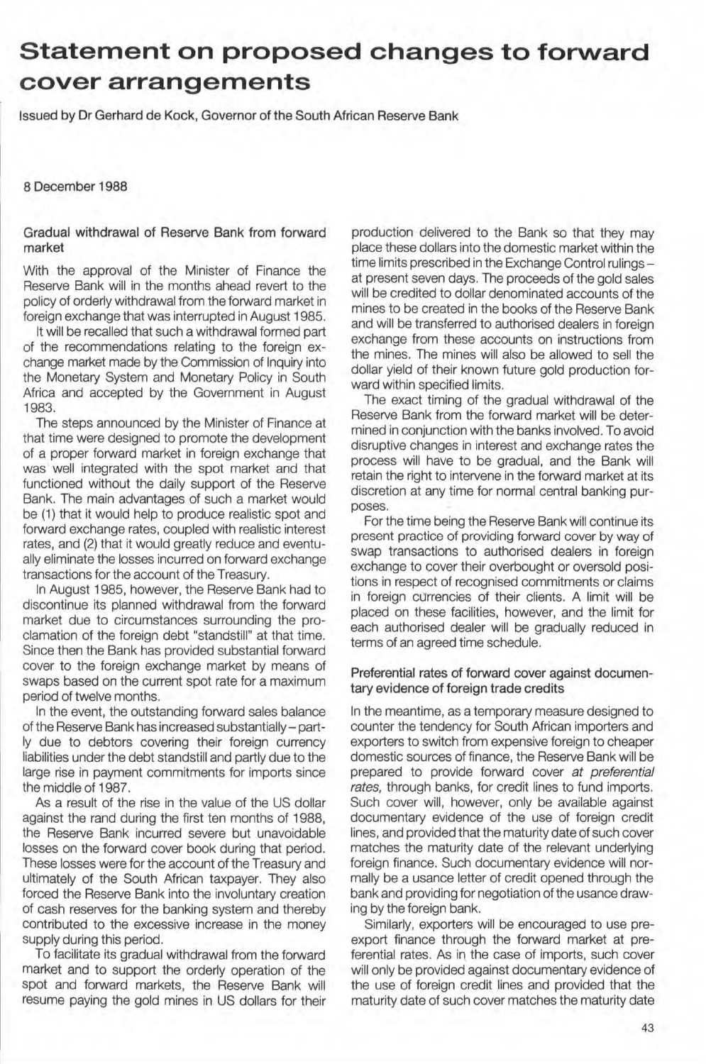## **Statement on proposed changes to forward cover arrangements**

Issued by Dr Gerhard de Kock, Governor of the South African Reserve Bank

8 December 1988

Gradual withdrawal of Reserve Bank from forward market

With the approval of the Minister of Finance the Reserve Bank will in the months ahead revert to the policy of orderly withdrawal from the forward market in foreign exchange that was interrupted in August 1985.

It will be recalled that such a withdrawal formed part of the recommendations relating to the foreign exchange market made by the Commission of Inquiry into the Monetary System and Monetary Policy in South Africa and accepted by the Govemment in August 1983.

The steps announced by the Minister of Finance at that time were designed to promote the development of a proper forward market in foreign exchange that was well integrated with the spot market and that functioned without the daily support of the Reserve Bank. The main advantages of such a market would be (1) that it would help to produce realistic spot and forward exchange rates, coupled with realistic interest rates, and (2) that it would greatly reduce and eventually eliminate the losses incurred on forward exchange transactions for the account of the Treasury.

In August 1985, however, the Reserve Bank had to discontinue its planned withdrawal from the forward market due to circumstances surrounding the proclamation of the foreign debt "standstill" at that time. Since then the Bank has provided substantial forward cover to the foreign exchange market by means of swaps based on the current spot rate for a maximum period of twelve months.

In the event, the outstanding forward sales balance of the Reserve Bank has increased substantially - part-1y due to debtors covering their foreign currency liabilities under the debt standstill and partly due to the large rise in payment commitments for imports since the middle of 1987.

As a result of the rise in the value of the US dollar against the rand during the first ten months of 1988, the Reserve Bank incurred severe but unavoidable losses on the forward cover book during that period. These losses were for the account of the Treasury and ultimately of the South African taxpayer. They also forced the Reserve Bank into the involuntary creation of cash reserves for the banking system and thereby contributed to the excessive increase in the money supply during this period.

To facilitate its gradual withdrawal from the forward market and to support the orderly operation of the spot and forward markets, the Reserve Bank will resume paying the gold mines in US dollars for their production delivered to the Bank so that they may place these dollars into the domestic market within the time limits prescribed in the Exchange Control rulingsat present seven days. The proceeds of the gold sales will be credited to dollar denominated accounts of the mines to be created in the books of the Reserve Bank and will be transferred to authorised dealers in foreign exchange from these accounts on instructions from the mines. The mines will also be allowed to sell the dollar yield of their known future gold production forward within specified limits.

The exact timing of the gradual withdrawal of the Reserve Bank from the forward market will be determined in conjunction with the banks involved. To avoid disruptive changes in interest and exchange rates the process will have to be gradual, and the Bank will retain the right to intervene in the forward market at its discretion at any time for normal central banking purposes.

For the time being the Reserve Bank will continue its present practice of providing forward cover by way of swap transactions to authorised dealers in foreign exchange to cover their overbought or oversold positions in respect of recognised commitments or claims in foreign currencies of their clients. A limit will be placed on these facilities, however, and the limit for each authorised dealer will be gradually reduced in terms of an agreed time schedule.

## Preferential rates of forward cover against documentary evidence of foreign trade credits

In the meantime, as a temporary measure designed to counter the tendency for South African importers and exporters to switch from expensive foreign to cheaper domestic sources of finance, the Reserve Bank will be prepared to provide forward cover at preferential rates, through banks, for credit lines to fund imports. Such cover will, however, only be available against documentary evidence of the use of foreign credit lines, and provided that the maturity date of such cover matches the maturity date of the relevant underlying foreign finance. Such documentary evidence will normally be a usance letter of credit opened through the bank and providing for negotiation of the usance drawing by the foreign bank.

Similarly, exporters will be encouraged to use preexport finance through the forward market at preferential rates. As in the case of imports, such cover will only be provided against documentary evidence of the use of foreign credit lines and provided that the maturity date of such cover matches the maturity date